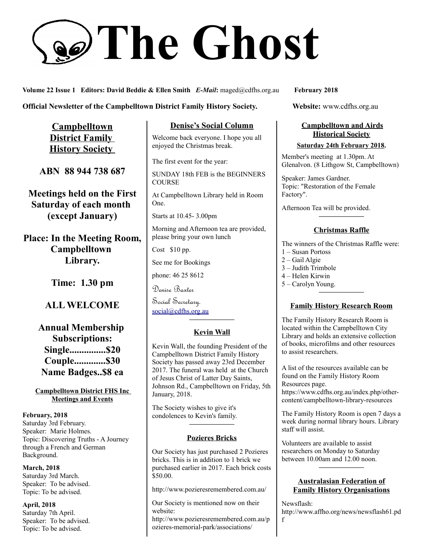# **The Ghost**

**Volume 22 Issue 1 Editors: David Beddie & Ellen Smith** *E-Mail***:** maged@cdfhs.org.au **February 2018**

**Official Newsletter of the Campbelltown District Family History Society. Website: www.cdfhs.org.au** 

**Campbelltown District Family History Society** 

**ABN 88 944 738 687**

**Meetings held on the First Saturday of each month (except January)**

**Place: In the Meeting Room, Campbelltown Library.**

**Time: 1.30 pm**

# **ALL WELCOME**

**Annual Membership Subscriptions: Single...............\$20 Couple.............\$30 Name Badges..\$8 ea**

**Campbelltown District FHS Inc Meetings and Events**

**February, 2018** Saturday 3rd February. Speaker: Marie Holmes. Topic: Discovering Truths - A Journey through a French and German Background.

**March, 2018** Saturday 3rd March. Speaker: To be advised. Topic: To be advised.

**April, 2018** Saturday 7th April. Speaker: To be advised. Topic: To be advised.

**Denise's Social Column**

Welcome back everyone. I hope you all enjoyed the Christmas break.

The first event for the year:

SUNDAY 18th FEB is the BEGINNERS **COURSE** 

At Campbelltown Library held in Room One.

Starts at 10.45- 3.00pm

Morning and Afternoon tea are provided, please bring your own lunch

Cost \$10 pp.

See me for Bookings

phone: 46 25 8612

Denise Baxter

Social Secretary. [social@cdfhs.org.au](mailto:social@cdfhs.org.au)

# **——————– Kevin Wall**

Kevin Wall, the founding President of the Campbelltown District Family History Society has passed away 23rd December 2017. The funeral was held at the Church of Jesus Christ of Latter Day Saints, Johnson Rd., Campbelltown on Friday, 5th January, 2018.

The Society wishes to give it's condolences to Kevin's family.

#### **Pozieres Bricks**

**——————–**

Our Society has just purchased 2 Pozieres bricks. This is in addition to 1 brick we purchased earlier in 2017. Each brick costs \$50.00.

http://www.pozieresremembered.com.au/

Our Society is mentioned now on their website:

http://www.pozieresremembered.com.au/p ozieres-memorial-park/associations/

### **Campbelltown and Airds Historical Society**

#### **Saturday 24th February 2018.**

Member's meeting at 1.30pm. At Glenalvon. (8 Lithgow St, Campbelltown)

Speaker: James Gardner. Topic: "Restoration of the Female Factory".

Afternoon Tea will be provided.

# **——————– Christmas Raffle**

The winners of the Christmas Raffle were:

- 1 Susan Portoss
- 2 Gail Algie
- 3 Judith Trimbole
- 4 Helen Kirwin
- 5 Carolyn Young. **——————–**

#### **Family History Research Room**

The Family History Research Room is located within the Campbelltown City Library and holds an extensive collection of books, microfilms and other resources to assist researchers.

A list of the resources available can be found on the Family History Room Resources page.

https://www.cdfhs.org.au/index.php/othercontent/campbelltown-library-resources

The Family History Room is open 7 days a week during normal library hours. Library staff will assist.

Volunteers are available to assist researchers on Monday to Saturday between 10.00am and 12.00 noon.

#### **Australasian Federation of Family History Organisations**

**——————–**

Newsflash:

http://www.affho.org/news/newsflash61.pd

f